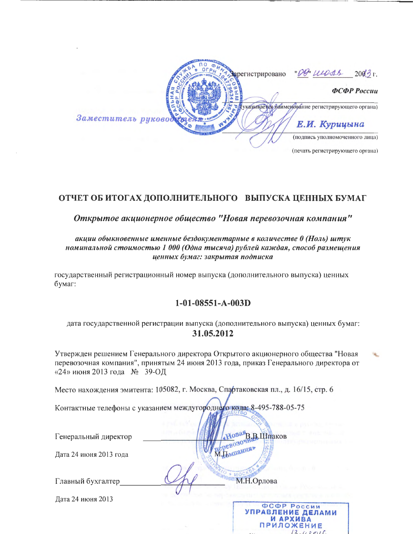|                      | Зарегистрировано | "DB uness<br>$200\frac{3}{2}r$ .                 |
|----------------------|------------------|--------------------------------------------------|
|                      |                  | ФСФР России                                      |
|                      |                  | указывается наименование регистрирующего органа) |
| Заместитель руководу |                  | Е.И. Курицына                                    |
|                      |                  | (подпись уполномоченного лица)                   |
|                      |                  | (печать регистрирующего органа)                  |

# ОТЧЕТ ОБ ИТОГАХ ДОПОЛНИТЕЛЬНОГО ВЫПУСКА ЦЕННЫХ БУМАГ

Открытое акционерное общество "Новая перевозочная компания"

## акции обыкновенные именные бездокументарные в количестве 0 (Ноль) штук номинальной стоимостью 1 000 (Одна тысяча) рублей каждая, способ размещения ценных бумаг: закрытая подписка

государственный регистрационный номер выпуска (дополнительного выпуска) ценных бумаг:

## $1-01-08551-A-003D$

дата государственной регистрации выпуска (дополнительного выпуска) ценных бумаг: 31.05.2012

Утвержден решением Генерального директора Открытого акционерного общества "Новая перевозочная компания", принятым 24 июня 2013 года, приказ Генерального директора от «24» июня 2013 года № 39-ОД

Место нахождения эмитента: 105082, г. Москва, Спартаковская пл., д. 16/15, стр. 6

Контактные телефоны с указанием междугороднего кода: 8-495-788-05-75

| Генеральный директор   | В.Шпаков<br>$\alpha$ 030 <sup>v</sup> |
|------------------------|---------------------------------------|
| Дата 24 июня 2013 года |                                       |
| Главный бухгалтер      | М.Н.Орлова                            |
| Дата 24 июня 2013      | ФСФР России<br>УПРАВЛЕНИЕ ДЕЛАМИ      |

И АРХИВА **ПРИЛОЖЕНИЕ**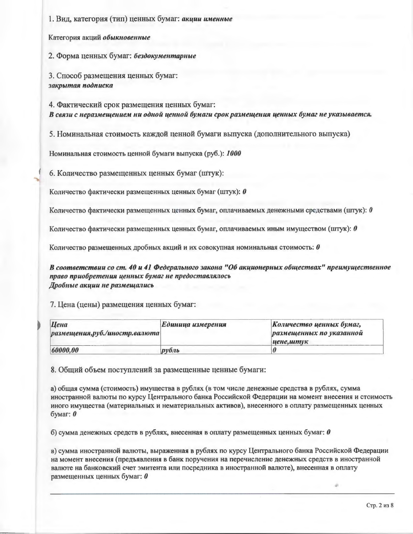1. Вид, категория (тип) ценных бумаг: акции именные

Категория акций обыкновенные

2. Форма ценных бумаг: бездокументарные

3. Способ размещения ценных бумаг: закрытая подписка

4. Фактический срок размещения ценных бумаг: В связи с неразмещением ни одной ценной бумаги срок размещения ценных бумаг не указывается.

5. Номинальная стоимость каждой ценной бумаги выпуска (дополнительного выпуска)

Номинальная стоимость ценной бумаги выпуска (руб.): 1000

6. Количество размещенных ценных бумаг (штук):

Количество фактически размещенных ценных бумаг (штук): 0

Количество фактически размещенных ценных бумаг, оплачиваемых денежными средствами (штук):  $\theta$ 

Количество фактически размещенных ценных бумаг, оплачиваемых иным имуществом (штук):  $\theta$ 

Количество размещенных дробных акций и их совокупная номинальная стоимость:  $\theta$ 

В соответствии со ст. 40 и 41 Федерального закона "Об акционерных обществах" преимущественное право приобретения ценных бумаг не предоставлялось Дробные акции не размещались

### 7. Цена (цены) размещения ценных бумаг:

| Цена<br>$ $ размещения, руб./иностр. валюта | Единица измерения | Количество ценных бумаг,<br>размещенных по указанной<br>иене, штук |
|---------------------------------------------|-------------------|--------------------------------------------------------------------|
| 60000,00                                    | $py$ бль          |                                                                    |

8. Общий объем поступлений за размещенные ценные бумаги:

а) общая сумма (стоимость) имущества в рублях (в том числе денежные средства в рублях, сумма иностранной валюты по курсу Центрального банка Российской Федерации на момент внесения и стоимость иного имущества (материальных и нематериальных активов), внесенного в оплату размещенных ценных бумаг:  $\boldsymbol{\theta}$ 

б) сумма денежных средств в рублях, внесенная в оплату размещенных ценных бумаг:  $\theta$ 

в) сумма иностранной валюты, выраженная в рублях по курсу Центрального банка Российской Федерации на момент внесения (предъявления в банк поручения на перечисление денежных средств в иностранной валюте на банковский счет эмитента или посредника в иностранной валюте), внесенная в оплату размещенных ценных бумаг: 0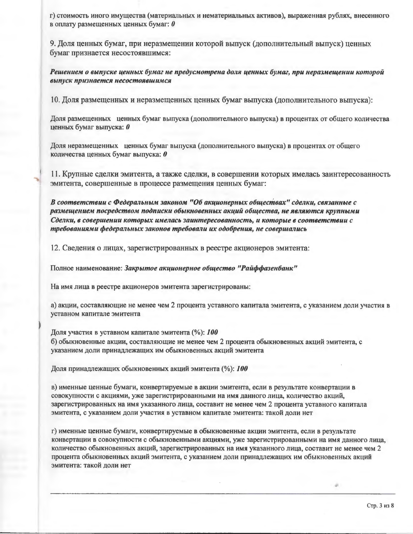г) стоимость иного имущества (материальных и нематериальных активов), выраженная рублях, внесенного в оплату размещенных ценных бумаг:  $\theta$ 

9. Доля ценных бумаг, при неразмещении которой выпуск (дополнительный выпуск) ценных бумаг признается несостоявшимся:

Решением о выпуске ценных бумаг не предусмотрена доля ценных бумаг, при неразмещении которой выпуск признается несостоявшимся

10. Доля размещенных и неразмещенных ценных бумаг выпуска (дополнительного выпуска):

Доля размещенных ценных бумаг выпуска (дополнительного выпуска) в процентах от общего количества ценных бумаг выпуска: 0

Доля неразмещенных ценных бумаг выпуска (дополнительного выпуска) в процентах от общего количества ценных бумаг выпуска: 0

11. Крупные сделки эмитента, а также сделки, в совершении которых имелась заинтересованность эмитента, совершенные в процессе размещения ценных бумаг:

В соответствии с Федеральным законом "Об акционерных обществах" сделки, связанные с размещением посредством подписки обыкновенных акций общества, не являются крупными Сделки, в совершении которых имелась заинтересованность, и которые в соответствии с требованиями федеральных законов требовали их одобрения, не совершались

12. Сведения о лицах, зарегистрированных в реестре акционеров эмитента:

Полное наименование: Закрытое акционерное общество "Райффазенбанк"

На имя лица в реестре акционеров эмитента зарегистрированы:

а) акции, составляющие не менее чем 2 процента уставного капитала эмитента, с указанием доли участия в уставном капитале эмитента

Доля участия в уставном капитале эмитента (%): 100 б) обыкновенные акции, составляющие не менее чем 2 процента обыкновенных акций эмитента, с указанием доли принадлежащих им обыкновенных акций эмитента

Доля принадлежащих обыкновенных акций эмитента (%): 100

в) именные ценные бумаги, конвертируемые в акции эмитента, если в результате конвертации в совокупности с акциями, уже зарегистрированными на имя данного лица, количество акций, зарегистрированных на имя указанного лица, составит не менее чем 2 процента уставного капитала эмитента, с указанием доли участия в уставном капитале эмитента: такой доли нет

г) именные ценные бумаги, конвертируемые в обыкновенные акции эмитента, если в результате конвертации в совокупности с обыкновенными акциями, уже зарегистрированными на имя данного лица, количество обыкновенных акций, зарегистрированных на имя указанного лица, составит не менее чем 2 процента обыкновенных акций эмитента, с указанием доли принадлежащих им обыкновенных акций эмитента: такой доли нет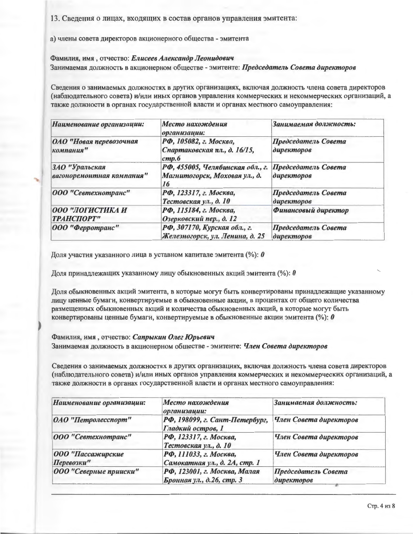13. Сведения о лицах, входящих в состав органов управления эмитента:

а) члены совета директоров акционерного общества - эмитента

### Фамилия, имя, отчество: Елисеев Александр Леонидович Занимаемая должность в акционерном обществе - эмитенте: Председатель Совета директоров

Сведения о занимаемых должностях в других организациях, включая должность члена совета директоров (наблюдательного совета) и/или иных органов управления коммерческих и некоммерческих организаций, а также должности в органах государственной власти и органах местного самоуправления:

| Наименование организации:                   | Место нахождения<br>организации:                                        | Занимаемая должность:             |
|---------------------------------------------|-------------------------------------------------------------------------|-----------------------------------|
| ОАО "Новая перевозочная<br>компания"        | РФ, 105082, г. Москва,<br>Спартаковская пл., д. 16/15,<br>cmp.6         | Председатель Совета<br>директоров |
| 3АО "Уральская<br>вагоноремонтная компания" | РФ, 455005, Челябинская обл., г.<br>Магнитогорск, Моховая ул., д.<br>16 | Председатель Совета<br>директоров |
| 000 "Севтехнотранс"                         | РФ, 123317, г. Москва,<br>Тестовская ул., д. 10                         | Председатель Совета<br>директоров |
| ООО "ЛОГИСТИКА И<br><b>ТРАНСПОРТ"</b>       | РФ, 115184, г. Москва,<br>Озерковский пер., д. 12                       | Финансовый директор               |
| 000 "Ферротранс"                            | РФ, 307170, Курская обл., г.<br>Железногорск, ул. Ленина, д. 25         | Председатель Совета<br>директоров |

Доля участия указанного лица в уставном капитале эмитента (%):  $\bm{\theta}$ 

Доля принадлежащих указанному лицу обыкновенных акций эмитента (%):  $\theta$ 

Доля обыкновенных акций эмитента, в которые могут быть конвертированы принадлежащие указанному лицу ценные бумаги, конвертируемые в обыкновенные акции, в процентах от общего количества размещенных обыкновенных акций и количества обыкновенных акций, в которые могут быть конвертированы ценные бумаги, конвертируемые в обыкновенные акции эмитента (%):  $\theta$ 

#### Фамилия, имя, отчество: Сапрыкин Олег Юрьевич

Занимаемая должность в акционерном обществе - эмитенте: *Член Совета директоров* 

Сведения о занимаемых должностях в других организациях, включая должность члена совета директоров (наблюдательного совета) и/или иных органов управления коммерческих и некоммерческих организаций, а также должности в органах государственной власти и органах местного самоуправления:

| Наименование организации:       | Место нахождения<br>организации:                          | Занимаемая должность:             |
|---------------------------------|-----------------------------------------------------------|-----------------------------------|
| ОАО "Петролесспорт"             | РФ, 198099, г. Сант-Петербург,<br>Гладкий остров, 1       | Член Совета директоров            |
| 000 "Севтехнотранс"             | РФ, 123317, г. Москва,<br>Тестовская ул., д. 10           | Член Совета директоров            |
| 000 "Пассажирские<br>Перевозки" | РФ, 111033, г. Москва,<br>Самокатная ул., д. 2А, стр. 1   | Член Совета директоров            |
| 000 "Северные прииски"          | РФ, 123001, г. Москва, Малая<br>Бронная ул., д.26, стр. 3 | Председатель Совета<br>директоров |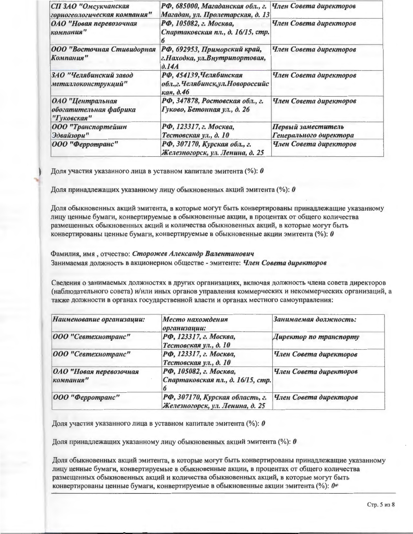| СП ЗАО "Омсукчанская<br>горногеологическая компания"      | РФ, 685000, Магаданская обл., г.<br>Магадан, ул. Пролетарская, д. 13               | Член Совета директоров                       |
|-----------------------------------------------------------|------------------------------------------------------------------------------------|----------------------------------------------|
| ОАО "Новая перевозочная<br>компания"                      | РФ, 105082, г. Москва,<br>Спартаковская пл., д. 16/15, стр.                        | Член Совета директоров                       |
| ООО "Восточная Стивидорная<br>Компания"                   | РФ, 692953, Приморский край,<br>г. Находка, ул. Внутрипортовая,<br>$\partial$ .14A | Член Совета директоров                       |
| 3АО "Челябинский завод<br>металлоконструкций"             | РФ, 454139, Челябинская<br>обл., г. Челябинск, ул. Новороссийс<br>кая, д.46        | Член Совета директоров                       |
| ОАО "Центральная<br>обогатительная фабрика<br>"Гуковская" | РФ, 347878, Ростовская обл., г.<br>Гуково, Бетонная ул., д. 26                     | Член Совета директоров                       |
| 000 "Транспортейшн<br>Эдвайзори"                          | РФ, 123317, г. Москва,<br>Тестовская ул., д. 10                                    | Первый заместитель<br>Генерального директора |
| 000 "Ферротранс"                                          | РФ, 307170, Курская обл., г.<br>Железногорск, ул. Ленина, д. 25                    | Член Совета директоров                       |

Доля участия указанного лица в уставном капитале эмитента (%):  $\pmb{\theta}$ 

Доля принадлежащих указанному лицу обыкновенных акций эмитента (%):  $\theta$ 

Доля обыкновенных акций эмитента, в которые могут быть конвертированы принадлежащие указанному лицу ценные бумаги, конвертируемые в обыкновенные акции, в процентах от общего количества размещенных обыкновенных акций и количества обыкновенных акций, в которые могут быть конвертированы ценные бумаги, конвертируемые в обыкновенные акции эмитента (%):  $\theta$ 

Фамилия, имя, отчество: Сторожев Александр Валентинович Занимаемая должность в акционерном обществе - эмитенте: Член Совета директоров

Сведения о занимаемых должностях в других организациях, включая должность члена совета директоров (наблюдательного совета) и/или иных органов управления коммерческих и некоммерческих организаций, а также должности в органах государственной власти и органах местного самоуправления:

| Наименование организации:            | Место нахождения<br>организации:                                   | Занимаемая должность:  |
|--------------------------------------|--------------------------------------------------------------------|------------------------|
| 000 "Севтехнотранс"                  | РФ, 123317, г. Москва,<br>Тестовская ул., д. 10                    | Директор по транспорту |
| 000 "Севтехнотранс"                  | РФ, 123317, г. Москва,<br>Тестовская ул., д. 10                    | Член Совета директоров |
| ОАО "Новая перевозочная<br>компания" | РФ, 105082, г. Москва,<br>Спартаковская пл., д. 16/15, стр.        | Член Совета директоров |
| $ 000 $ "Ферротранс"                 | РФ, 307170, Курская область, г.<br>Железногорск, ул. Ленина, д. 25 | Член Совета директоров |

Доля участия указанного лица в уставном капитале эмитента (%):  $\boldsymbol{\theta}$ 

Доля принадлежащих указанному лицу обыкновенных акций эмитента (%):  $\bm{\theta}$ 

Доля обыкновенных акций эмитента, в которые могут быть конвертированы принадлежащие указанному лицу ценные бумаги, конвертируемые в обыкновенные акции, в процентах от общего количества размещенных обыкновенных акций и количества обыкновенных акций, в которые могут быть конвертированы ценные бумаги, конвертируемые в обыкновенные акции эмитента (%): *№*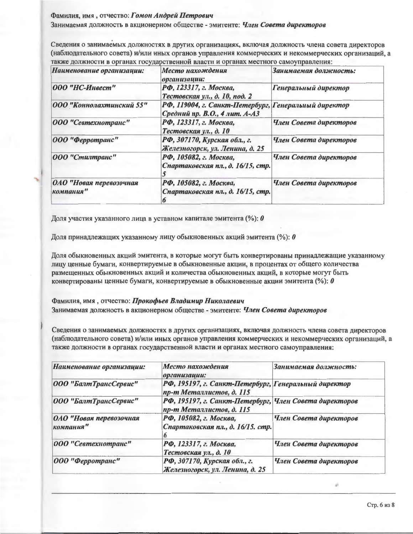#### Фамилия, имя, отчество: Гомон Андрей Петрович

Занимаемая должность в акционерном обществе - эмитенте: Член Совета директоров

Сведения о занимаемых должностях в других организациях, включая должность члена совета директоров (наблюдательного совета) и/или иных органов управления коммерческих и некоммерческих организаций, а также должности в органах государственной власти и органах местного самоуправления:

| Наименование организации:            | Место нахождения<br>организации:                                                      | Занимаемая должность:  |
|--------------------------------------|---------------------------------------------------------------------------------------|------------------------|
| 000 "НС-Инвест"                      | РФ, 123317, г. Москва,<br>Тестовская ул., д. 10, под. 2                               | Генеральный директор   |
| 000 "Коннолахтинский 55"             | РФ, 119004, г. Санкт-Петербург, Генеральный директор<br>Средний пр. В.О., 4 лит. А-АЗ |                        |
| 000 "Севтехнотранс"                  | РФ, 123317, г. Москва,<br>Тестовская ул., д. 10                                       | Член Совета директоров |
| 000 "Ферротранс"                     | РФ, 307170, Курская обл., г.<br>Железногорск, ул. Ленина, д. 25                       | Член Совета директоров |
| 000 "Стилтранс"                      | РФ, 105082, г. Москва,<br>Спартаковская пл., д. 16/15, стр.                           | Член Совета директоров |
| ОАО "Новая перевозочная<br>компания" | РФ, 105082, г. Москва,<br>Спартаковская пл., д. 16/15, стр.                           | Член Совета директоров |

Доля участия указанного лица в уставном капитале эмитента (%):  $\theta$ 

Доля принадлежащих указанному лицу обыкновенных акций эмитента (%):  $\theta$ 

Доля обыкновенных акций эмитента, в которые могут быть конвертированы принадлежащие указанному лицу ценные бумаги, конвертируемые в обыкновенные акции, в процентах от общего количества размещенных обыкновенных акций и количества обыкновенных акций, в которые могут быть конвертированы ценные бумаги, конвертируемые в обыкновенные акции эмитента (%):  $\theta$ 

Фамилия, имя, отчество: Прокофьев Владимир Николаевич Занимаемая должность в акционерном обществе - эмитенте: *Член Совета директоров* 

Сведения о занимаемых должностях в других организациях, включая должность члена совета директоров (наблюдательного совета) и/или иных органов управления коммерческих и некоммерческих организаций, а также должности в органах государственной власти и органах местного самоуправления:

| Наименование организации:            | Место нахождения<br>организации:                                                   | Занимаемая должность:  |
|--------------------------------------|------------------------------------------------------------------------------------|------------------------|
| 000 "БалтТрансСервис"                | РФ, 195197, г. Санкт-Петербург, Генеральный директор<br>пр-т Металлистов, д. 115   |                        |
| 000 "БалтТрансСервис"                | РФ, 195197, г. Санкт-Петербург, Член Совета директоров<br>пр-т Металлистов, д. 115 |                        |
| ОАО "Новая перевозочная<br>компания" | РФ, 105082, г. Москва,<br>Спартаковская пл., д. 16/15. стр.                        | Член Совета директоров |
| 000 "Севтехнотранс"                  | РФ, 123317, г. Москва,<br>Тестовская ул., д. 10                                    | Член Совета директоров |
| 000 "Ферротранс"                     | РФ, 307170, Курская обл., г.<br>Железногорск, ул. Ленина, д. 25                    | Член Совета директоров |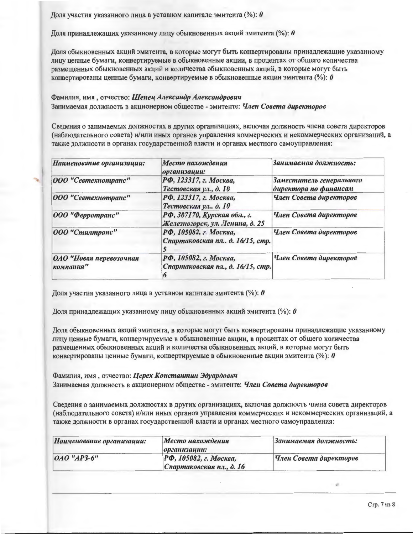Доля участия указанного лица в уставном капитале эмитента (%):  $\theta$ 

Доля принадлежащих указанному лицу обыкновенных акций эмитента (%): 0

Доля обыкновенных акций эмитента, в которые могут быть конвертированы принадлежащие указанному лицу ценные бумаги, конвертируемые в обыкновенные акции, в процентах от общего количества размещенных обыкновенных акций и количества обыкновенных акций, в которые могут быть конвертированы ценные бумаги, конвертируемые в обыкновенные акции эмитента (%):  $\theta$ 

## Фамилия, имя, отчество: Шенец Александр Александрович

Занимаемая должность в акционерном обществе - эмитенте: Член Совета директоров

Сведения о занимаемых должностях в других организациях, включая должность члена совета директоров (наблюдательного совета) и/или иных органов управления коммерческих и некоммерческих организаций, а также должности в органах государственной власти и органах местного самоуправления:

| Наименование организации:            | Место нахождения<br>организации:                                | Занимаемая должность:                             |
|--------------------------------------|-----------------------------------------------------------------|---------------------------------------------------|
| 000 "Севтехнотранс"                  | РФ, 123317, г. Москва,<br>Тестовская ул., д. 10                 | Заместитель генерального<br>директора по финансам |
| 000 "Севтехнотранс"                  | РФ, 123317, г. Москва,<br>Тестовская ул., д. 10                 | Член Совета директоров                            |
| 000 "Ферротранс"                     | РФ, 307170, Курская обл., г.<br>Железногорск, ул. Ленина, д. 25 | Член Совета директоров                            |
| 000 "Стилтранс"                      | РФ, 105082, г. Москва,<br>Спартаковская пл., д. 16/15, стр.     | Член Совета директоров                            |
| ОАО "Новая перевозочная<br>компания" | РФ, 105082, г. Москва,<br>Спартаковская пл., д. 16/15, стр.     | Член Совета директоров                            |

Доля участия указанного лица в уставном капитале эмитента (%):  $\theta$ 

Доля принадлежащих указанному лицу обыкновенных акций эмитента (%): 0

Доля обыкновенных акций эмитента, в которые могут быть конвертированы принадлежащие указанному лицу ценные бумаги, конвертируемые в обыкновенные акции, в процентах от общего количества размещенных обыкновенных акций и количества обыкновенных акций, в которые могут быть конвертированы ценные бумаги, конвертируемые в обыкновенные акции эмитента (%):  $\bm{\theta}$ 

# Фамилия, имя, отчество: Церех Константин Эдуардович

Занимаемая должность в акционерном обществе - эмитенте: *Член Совета директоров* 

Сведения о занимаемых должностях в других организациях, включая должность члена совета директоров (наблюдательного совета) и/или иных органов управления коммерческих и некоммерческих организаций, а также должности в органах государственной власти и органах местного самоуправления:

| Наименование организации: | Место нахождения<br>$ op_2$ анизации:              | Занимаемая должность:  |
|---------------------------|----------------------------------------------------|------------------------|
| $0A0$ "AP3-6"             | РФ, 105082, г. Москва,<br>Спартаковская пл., д. 16 | Член Совета директоров |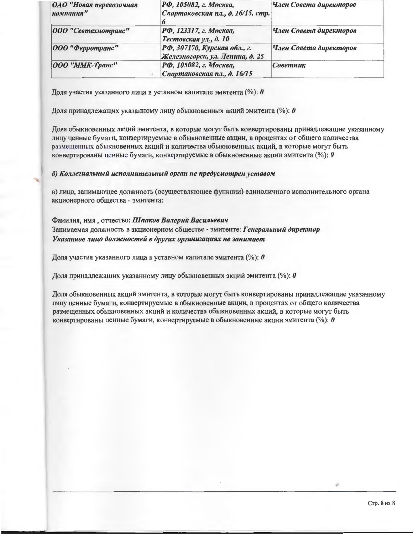| ОАО "Новая перевозочная<br>компания" | РФ, 105082, г. Москва,<br>Спартаковская пл., д. 16/15, стр.     | Член Совета директоров |
|--------------------------------------|-----------------------------------------------------------------|------------------------|
| 000 "Севтехнотранс"                  | РФ, 123317, г. Москва,<br>Тестовская ул., д. 10                 | Член Совета директоров |
| $ 000 $ "Ферротранс"                 | РФ, 307170, Курская обл., г.<br>Железногорск, ул. Ленина, д. 25 | Член Совета директоров |
| <b>ООО</b> "ММК-Транс"               | РФ, 105082, г. Москва,<br>Спартаковская пл., д. 16/15           | Советник               |

Доля участия указанного лица в уставном капитале эмитента (%):  $\boldsymbol{\theta}$ 

Доля принадлежащих указанному лицу обыкновенных акций эмитента (%):  $\theta$ 

Доля обыкновенных акций эмитента, в которые могут быть конвертированы принадлежащие указанному лицу ценные бумаги, конвертируемые в обыкновенные акции, в процентах от общего количества размещенных обыкновенных акций и количества обыкновенных акций, в которые могут быть конвертированы ценные бумаги, конвертируемые в обыкновенные акции эмитента (%):  $\boldsymbol{\theta}$ 

#### б) Коллегиальный исполнительный орган не предусмотрен уставом

в) лицо, занимающее должность (осуществляющее функции) единоличного исполнительного органа акционерного общества - эмитента:

Фамилия, имя, отчество: Шпаков Валерий Васильевич Занимаемая должность в акционерном обществе - эмитенте: Генеральный директор Указанное лицо должностей в других организациях не занимает

Доля участия указанного лица в уставном капитале эмитента (%):  $\theta$ 

Доля принадлежащих указанному лицу обыкновенных акций эмитента (%):  $\theta$ 

Доля обыкновенных акций эмитента, в которые могут быть конвертированы принадлежащие указанному лицу ценные бумаги, конвертируемые в обыкновенные акции, в процентах от общего количества размещенных обыкновенных акций и количества обыкновенных акций, в которые могут быть конвертированы ценные бумаги, конвертируемые в обыкновенные акции эмитента (%):  $\theta$